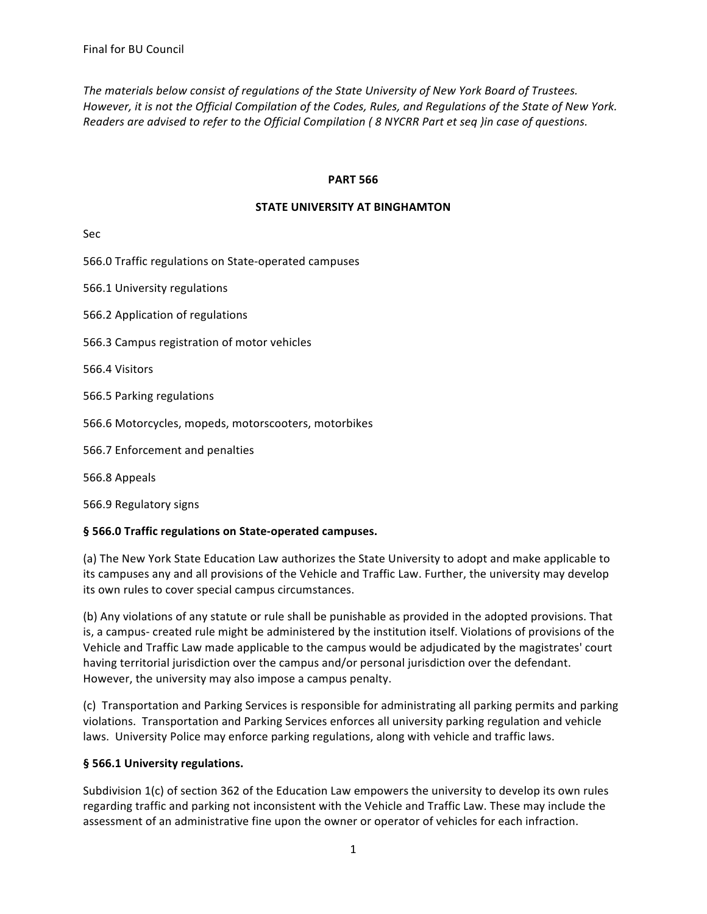The materials below consist of regulations of the State University of New York Board of Trustees. However, it is not the Official Compilation of the Codes, Rules, and Regulations of the State of New York. *Readers are advised to refer to the Official Compilation (8 NYCRR Part et seq )in case of questions.* 

### **PART 566**

#### **STATE UNIVERSITY AT BINGHAMTON**

Sec

566.0 Traffic regulations on State-operated campuses

566.1 University regulations

566.2 Application of regulations

566.3 Campus registration of motor vehicles

566.4 Visitors

566.5 Parking regulations

566.6 Motorcycles, mopeds, motorscooters, motorbikes

566.7 Enforcement and penalties

566.8 Appeals

566.9 Regulatory signs

#### § 566.0 Traffic regulations on State-operated campuses.

(a) The New York State Education Law authorizes the State University to adopt and make applicable to its campuses any and all provisions of the Vehicle and Traffic Law. Further, the university may develop its own rules to cover special campus circumstances.

(b) Any violations of any statute or rule shall be punishable as provided in the adopted provisions. That is, a campus- created rule might be administered by the institution itself. Violations of provisions of the Vehicle and Traffic Law made applicable to the campus would be adjudicated by the magistrates' court having territorial jurisdiction over the campus and/or personal jurisdiction over the defendant. However, the university may also impose a campus penalty.

(c) Transportation and Parking Services is responsible for administrating all parking permits and parking violations. Transportation and Parking Services enforces all university parking regulation and vehicle laws. University Police may enforce parking regulations, along with vehicle and traffic laws.

#### § 566.1 University regulations.

Subdivision  $1(c)$  of section 362 of the Education Law empowers the university to develop its own rules regarding traffic and parking not inconsistent with the Vehicle and Traffic Law. These may include the assessment of an administrative fine upon the owner or operator of vehicles for each infraction.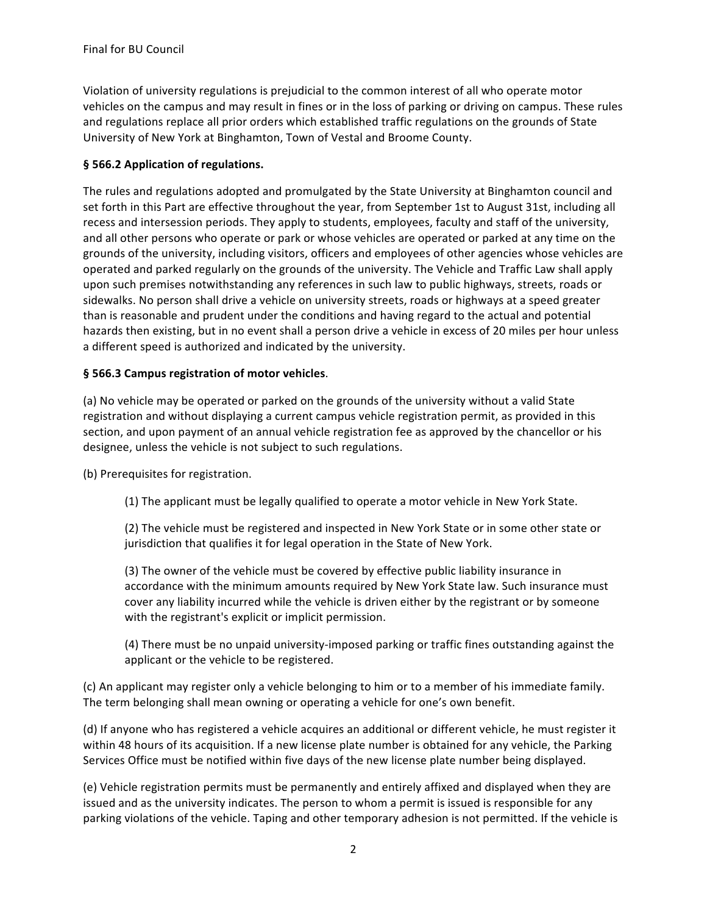Violation of university regulations is prejudicial to the common interest of all who operate motor vehicles on the campus and may result in fines or in the loss of parking or driving on campus. These rules and regulations replace all prior orders which established traffic regulations on the grounds of State University of New York at Binghamton, Town of Vestal and Broome County.

## § 566.2 Application of regulations.

The rules and regulations adopted and promulgated by the State University at Binghamton council and set forth in this Part are effective throughout the year, from September 1st to August 31st, including all recess and intersession periods. They apply to students, employees, faculty and staff of the university, and all other persons who operate or park or whose vehicles are operated or parked at any time on the grounds of the university, including visitors, officers and employees of other agencies whose vehicles are operated and parked regularly on the grounds of the university. The Vehicle and Traffic Law shall apply upon such premises notwithstanding any references in such law to public highways, streets, roads or sidewalks. No person shall drive a vehicle on university streets, roads or highways at a speed greater than is reasonable and prudent under the conditions and having regard to the actual and potential hazards then existing, but in no event shall a person drive a vehicle in excess of 20 miles per hour unless a different speed is authorized and indicated by the university.

### § 566.3 Campus registration of motor vehicles.

(a) No vehicle may be operated or parked on the grounds of the university without a valid State registration and without displaying a current campus vehicle registration permit, as provided in this section, and upon payment of an annual vehicle registration fee as approved by the chancellor or his designee, unless the vehicle is not subject to such regulations.

(b) Prerequisites for registration.

(1) The applicant must be legally qualified to operate a motor vehicle in New York State.

(2) The vehicle must be registered and inspected in New York State or in some other state or jurisdiction that qualifies it for legal operation in the State of New York.

(3) The owner of the vehicle must be covered by effective public liability insurance in accordance with the minimum amounts required by New York State law. Such insurance must cover any liability incurred while the vehicle is driven either by the registrant or by someone with the registrant's explicit or implicit permission.

(4) There must be no unpaid university-imposed parking or traffic fines outstanding against the applicant or the vehicle to be registered.

(c) An applicant may register only a vehicle belonging to him or to a member of his immediate family. The term belonging shall mean owning or operating a vehicle for one's own benefit.

(d) If anyone who has registered a vehicle acquires an additional or different vehicle, he must register it within 48 hours of its acquisition. If a new license plate number is obtained for any vehicle, the Parking Services Office must be notified within five days of the new license plate number being displayed.

(e) Vehicle registration permits must be permanently and entirely affixed and displayed when they are issued and as the university indicates. The person to whom a permit is issued is responsible for any parking violations of the vehicle. Taping and other temporary adhesion is not permitted. If the vehicle is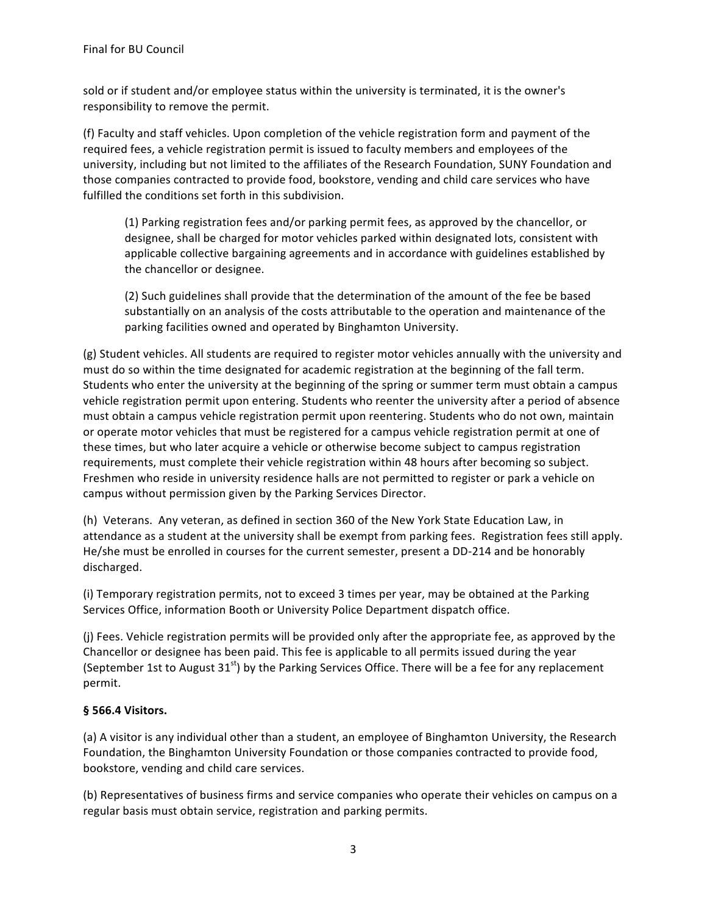sold or if student and/or employee status within the university is terminated, it is the owner's responsibility to remove the permit.

(f) Faculty and staff vehicles. Upon completion of the vehicle registration form and payment of the required fees, a vehicle registration permit is issued to faculty members and employees of the university, including but not limited to the affiliates of the Research Foundation, SUNY Foundation and those companies contracted to provide food, bookstore, vending and child care services who have fulfilled the conditions set forth in this subdivision.

(1) Parking registration fees and/or parking permit fees, as approved by the chancellor, or designee, shall be charged for motor vehicles parked within designated lots, consistent with applicable collective bargaining agreements and in accordance with guidelines established by the chancellor or designee.

(2) Such guidelines shall provide that the determination of the amount of the fee be based substantially on an analysis of the costs attributable to the operation and maintenance of the parking facilities owned and operated by Binghamton University.

(g) Student vehicles. All students are required to register motor vehicles annually with the university and must do so within the time designated for academic registration at the beginning of the fall term. Students who enter the university at the beginning of the spring or summer term must obtain a campus vehicle registration permit upon entering. Students who reenter the university after a period of absence must obtain a campus vehicle registration permit upon reentering. Students who do not own, maintain or operate motor vehicles that must be registered for a campus vehicle registration permit at one of these times, but who later acquire a vehicle or otherwise become subject to campus registration requirements, must complete their vehicle registration within 48 hours after becoming so subject. Freshmen who reside in university residence halls are not permitted to register or park a vehicle on campus without permission given by the Parking Services Director.

(h) Veterans. Any veteran, as defined in section 360 of the New York State Education Law, in attendance as a student at the university shall be exempt from parking fees. Registration fees still apply. He/she must be enrolled in courses for the current semester, present a DD-214 and be honorably discharged.

(i) Temporary registration permits, not to exceed 3 times per year, may be obtained at the Parking Services Office, information Booth or University Police Department dispatch office.

(i) Fees. Vehicle registration permits will be provided only after the appropriate fee, as approved by the Chancellor or designee has been paid. This fee is applicable to all permits issued during the year (September 1st to August  $31<sup>st</sup>$ ) by the Parking Services Office. There will be a fee for any replacement permit.

# **§ 566.4 Visitors.**

(a) A visitor is any individual other than a student, an employee of Binghamton University, the Research Foundation, the Binghamton University Foundation or those companies contracted to provide food, bookstore, vending and child care services.

(b) Representatives of business firms and service companies who operate their vehicles on campus on a regular basis must obtain service, registration and parking permits.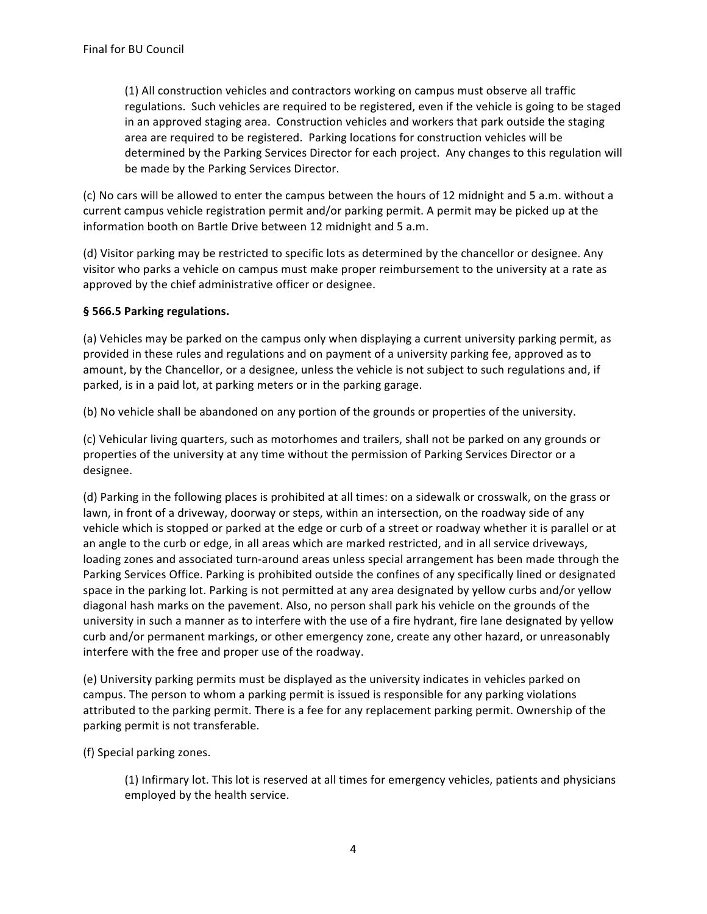(1) All construction vehicles and contractors working on campus must observe all traffic regulations. Such vehicles are required to be registered, even if the vehicle is going to be staged in an approved staging area. Construction vehicles and workers that park outside the staging area are required to be registered. Parking locations for construction vehicles will be determined by the Parking Services Director for each project. Any changes to this regulation will be made by the Parking Services Director.

(c) No cars will be allowed to enter the campus between the hours of 12 midnight and 5 a.m. without a current campus vehicle registration permit and/or parking permit. A permit may be picked up at the information booth on Bartle Drive between 12 midnight and 5 a.m.

(d) Visitor parking may be restricted to specific lots as determined by the chancellor or designee. Any visitor who parks a vehicle on campus must make proper reimbursement to the university at a rate as approved by the chief administrative officer or designee.

## § 566.5 Parking regulations.

(a) Vehicles may be parked on the campus only when displaying a current university parking permit, as provided in these rules and regulations and on payment of a university parking fee, approved as to amount, by the Chancellor, or a designee, unless the vehicle is not subject to such regulations and, if parked, is in a paid lot, at parking meters or in the parking garage.

(b) No vehicle shall be abandoned on any portion of the grounds or properties of the university.

(c) Vehicular living quarters, such as motorhomes and trailers, shall not be parked on any grounds or properties of the university at any time without the permission of Parking Services Director or a designee.

(d) Parking in the following places is prohibited at all times: on a sidewalk or crosswalk, on the grass or lawn, in front of a driveway, doorway or steps, within an intersection, on the roadway side of any vehicle which is stopped or parked at the edge or curb of a street or roadway whether it is parallel or at an angle to the curb or edge, in all areas which are marked restricted, and in all service driveways, loading zones and associated turn-around areas unless special arrangement has been made through the Parking Services Office. Parking is prohibited outside the confines of any specifically lined or designated space in the parking lot. Parking is not permitted at any area designated by yellow curbs and/or yellow diagonal hash marks on the pavement. Also, no person shall park his vehicle on the grounds of the university in such a manner as to interfere with the use of a fire hydrant, fire lane designated by yellow curb and/or permanent markings, or other emergency zone, create any other hazard, or unreasonably interfere with the free and proper use of the roadway.

(e) University parking permits must be displayed as the university indicates in vehicles parked on campus. The person to whom a parking permit is issued is responsible for any parking violations attributed to the parking permit. There is a fee for any replacement parking permit. Ownership of the parking permit is not transferable.

(f) Special parking zones.

(1) Infirmary lot. This lot is reserved at all times for emergency vehicles, patients and physicians employed by the health service.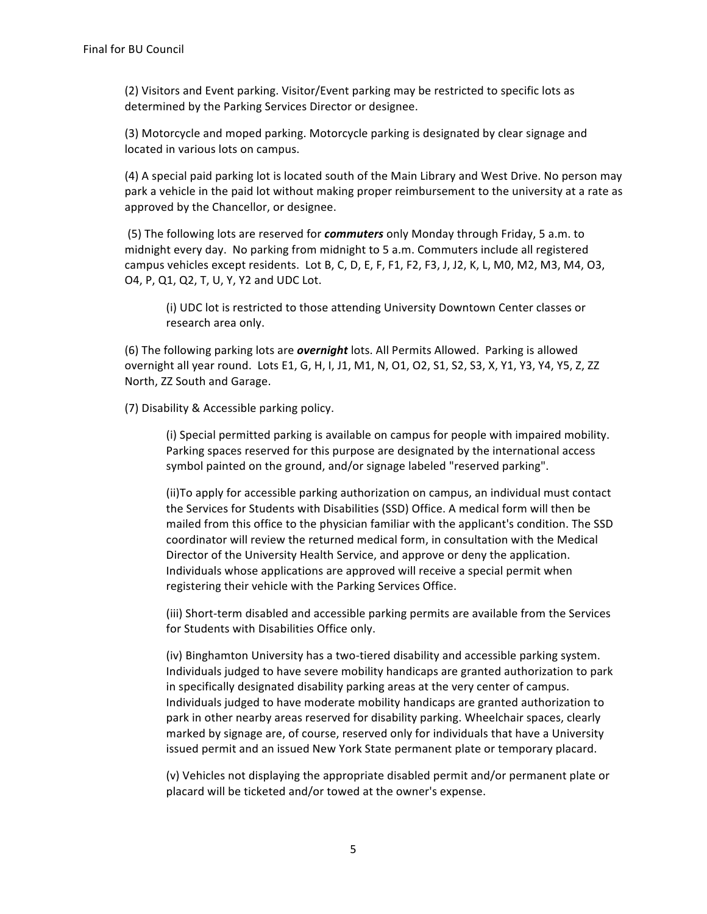(2) Visitors and Event parking. Visitor/Event parking may be restricted to specific lots as determined by the Parking Services Director or designee.

(3) Motorcycle and moped parking. Motorcycle parking is designated by clear signage and located in various lots on campus.

(4) A special paid parking lot is located south of the Main Library and West Drive. No person may park a vehicle in the paid lot without making proper reimbursement to the university at a rate as approved by the Chancellor, or designee.

(5) The following lots are reserved for *commuters* only Monday through Friday, 5 a.m. to midnight every day. No parking from midnight to 5 a.m. Commuters include all registered campus vehicles except residents. Lot B, C, D, E, F, F1, F2, F3, J, J2, K, L, M0, M2, M3, M4, O3, O4, P, Q1, Q2, T, U, Y, Y2 and UDC Lot.

(i) UDC lot is restricted to those attending University Downtown Center classes or research area only.

(6) The following parking lots are *overnight* lots. All Permits Allowed. Parking is allowed overnight all year round. Lots E1, G, H, I, J1, M1, N, O1, O2, S1, S2, S3, X, Y1, Y3, Y4, Y5, Z, ZZ North, ZZ South and Garage.

(7) Disability & Accessible parking policy.

(i) Special permitted parking is available on campus for people with impaired mobility. Parking spaces reserved for this purpose are designated by the international access symbol painted on the ground, and/or signage labeled "reserved parking".

(ii)To apply for accessible parking authorization on campus, an individual must contact the Services for Students with Disabilities (SSD) Office. A medical form will then be mailed from this office to the physician familiar with the applicant's condition. The SSD coordinator will review the returned medical form, in consultation with the Medical Director of the University Health Service, and approve or deny the application. Individuals whose applications are approved will receive a special permit when registering their vehicle with the Parking Services Office.

(iii) Short-term disabled and accessible parking permits are available from the Services for Students with Disabilities Office only.

(iv) Binghamton University has a two-tiered disability and accessible parking system. Individuals judged to have severe mobility handicaps are granted authorization to park in specifically designated disability parking areas at the very center of campus. Individuals judged to have moderate mobility handicaps are granted authorization to park in other nearby areas reserved for disability parking. Wheelchair spaces, clearly marked by signage are, of course, reserved only for individuals that have a University issued permit and an issued New York State permanent plate or temporary placard.

(v) Vehicles not displaying the appropriate disabled permit and/or permanent plate or placard will be ticketed and/or towed at the owner's expense.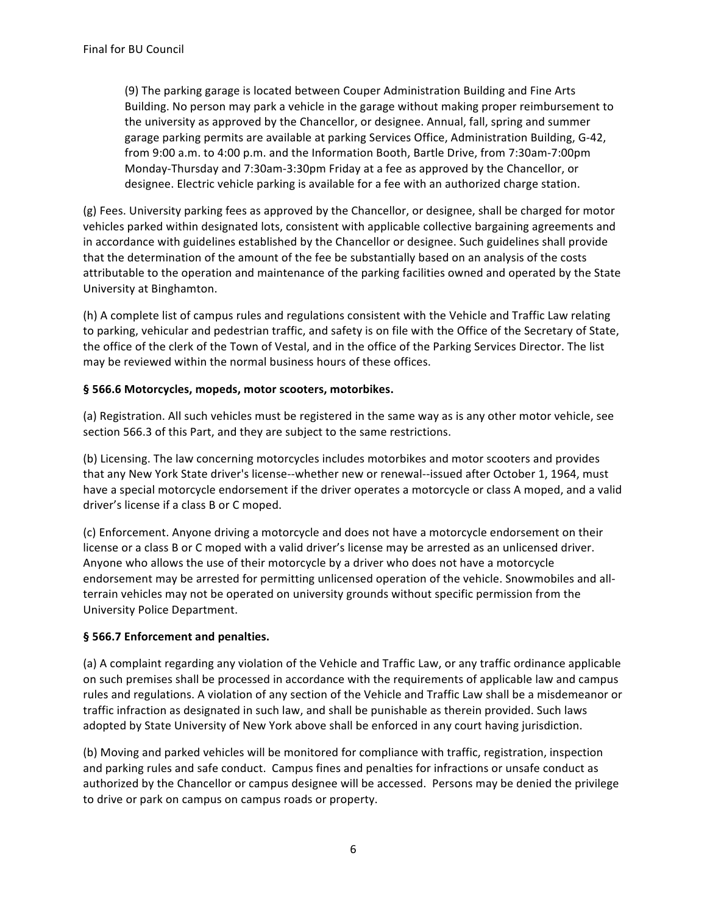(9) The parking garage is located between Couper Administration Building and Fine Arts Building. No person may park a vehicle in the garage without making proper reimbursement to the university as approved by the Chancellor, or designee. Annual, fall, spring and summer garage parking permits are available at parking Services Office, Administration Building, G-42, from 9:00 a.m. to 4:00 p.m. and the Information Booth, Bartle Drive, from 7:30am-7:00pm Monday-Thursday and 7:30am-3:30pm Friday at a fee as approved by the Chancellor, or designee. Electric vehicle parking is available for a fee with an authorized charge station.

(g) Fees. University parking fees as approved by the Chancellor, or designee, shall be charged for motor vehicles parked within designated lots, consistent with applicable collective bargaining agreements and in accordance with guidelines established by the Chancellor or designee. Such guidelines shall provide that the determination of the amount of the fee be substantially based on an analysis of the costs attributable to the operation and maintenance of the parking facilities owned and operated by the State University at Binghamton.

(h) A complete list of campus rules and regulations consistent with the Vehicle and Traffic Law relating to parking, vehicular and pedestrian traffic, and safety is on file with the Office of the Secretary of State, the office of the clerk of the Town of Vestal, and in the office of the Parking Services Director. The list may be reviewed within the normal business hours of these offices.

## § 566.6 Motorcycles, mopeds, motor scooters, motorbikes.

(a) Registration. All such vehicles must be registered in the same way as is any other motor vehicle, see section 566.3 of this Part, and they are subject to the same restrictions.

(b) Licensing. The law concerning motorcycles includes motorbikes and motor scooters and provides that any New York State driver's license--whether new or renewal--issued after October 1, 1964, must have a special motorcycle endorsement if the driver operates a motorcycle or class A moped, and a valid driver's license if a class B or C moped.

(c) Enforcement. Anyone driving a motorcycle and does not have a motorcycle endorsement on their license or a class B or C moped with a valid driver's license may be arrested as an unlicensed driver. Anyone who allows the use of their motorcycle by a driver who does not have a motorcycle endorsement may be arrested for permitting unlicensed operation of the vehicle. Snowmobiles and allterrain vehicles may not be operated on university grounds without specific permission from the University Police Department.

# § 566.7 Enforcement and penalties.

(a) A complaint regarding any violation of the Vehicle and Traffic Law, or any traffic ordinance applicable on such premises shall be processed in accordance with the requirements of applicable law and campus rules and regulations. A violation of any section of the Vehicle and Traffic Law shall be a misdemeanor or traffic infraction as designated in such law, and shall be punishable as therein provided. Such laws adopted by State University of New York above shall be enforced in any court having jurisdiction.

(b) Moving and parked vehicles will be monitored for compliance with traffic, registration, inspection and parking rules and safe conduct. Campus fines and penalties for infractions or unsafe conduct as authorized by the Chancellor or campus designee will be accessed. Persons may be denied the privilege to drive or park on campus on campus roads or property.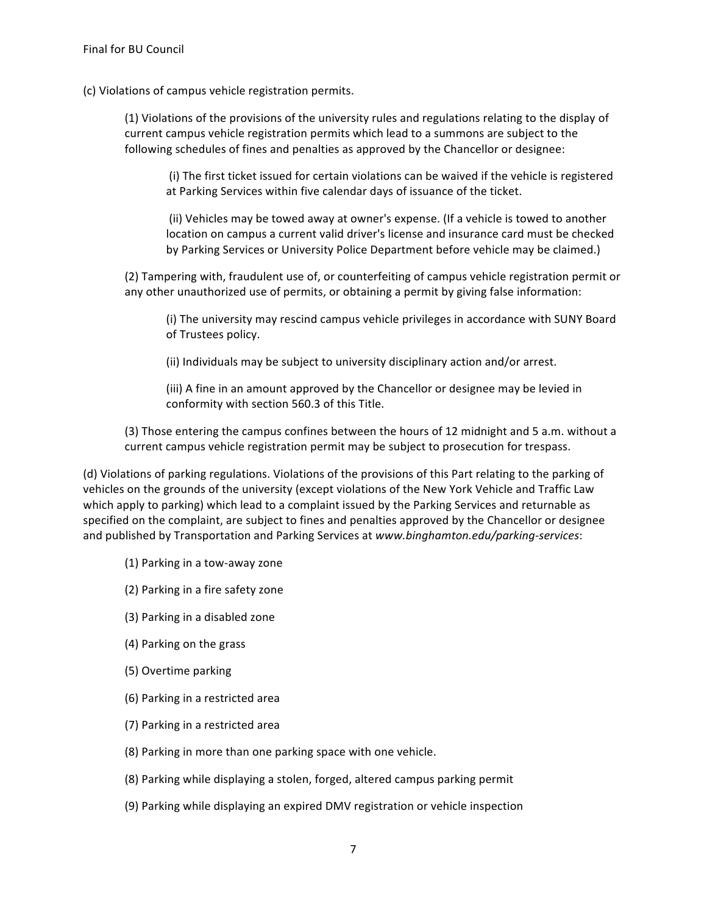(c) Violations of campus vehicle registration permits.

(1) Violations of the provisions of the university rules and regulations relating to the display of current campus vehicle registration permits which lead to a summons are subject to the following schedules of fines and penalties as approved by the Chancellor or designee:

(i) The first ticket issued for certain violations can be waived if the vehicle is registered at Parking Services within five calendar days of issuance of the ticket.

(ii) Vehicles may be towed away at owner's expense. (If a vehicle is towed to another location on campus a current valid driver's license and insurance card must be checked by Parking Services or University Police Department before vehicle may be claimed.)

(2) Tampering with, fraudulent use of, or counterfeiting of campus vehicle registration permit or any other unauthorized use of permits, or obtaining a permit by giving false information:

(i) The university may rescind campus vehicle privileges in accordance with SUNY Board of Trustees policy.

(ii) Individuals may be subject to university disciplinary action and/or arrest.

(iii) A fine in an amount approved by the Chancellor or designee may be levied in conformity with section 560.3 of this Title.

(3) Those entering the campus confines between the hours of 12 midnight and 5 a.m. without a current campus vehicle registration permit may be subject to prosecution for trespass.

(d) Violations of parking regulations. Violations of the provisions of this Part relating to the parking of vehicles on the grounds of the university (except violations of the New York Vehicle and Traffic Law which apply to parking) which lead to a complaint issued by the Parking Services and returnable as specified on the complaint, are subject to fines and penalties approved by the Chancellor or designee and published by Transportation and Parking Services at *www.binghamton.edu/parking-services*:

- (1) Parking in a tow-away zone
- (2) Parking in a fire safety zone
- (3) Parking in a disabled zone
- (4) Parking on the grass
- (5) Overtime parking
- (6) Parking in a restricted area
- (7) Parking in a restricted area
- (8) Parking in more than one parking space with one vehicle.
- (8) Parking while displaying a stolen, forged, altered campus parking permit
- (9) Parking while displaying an expired DMV registration or vehicle inspection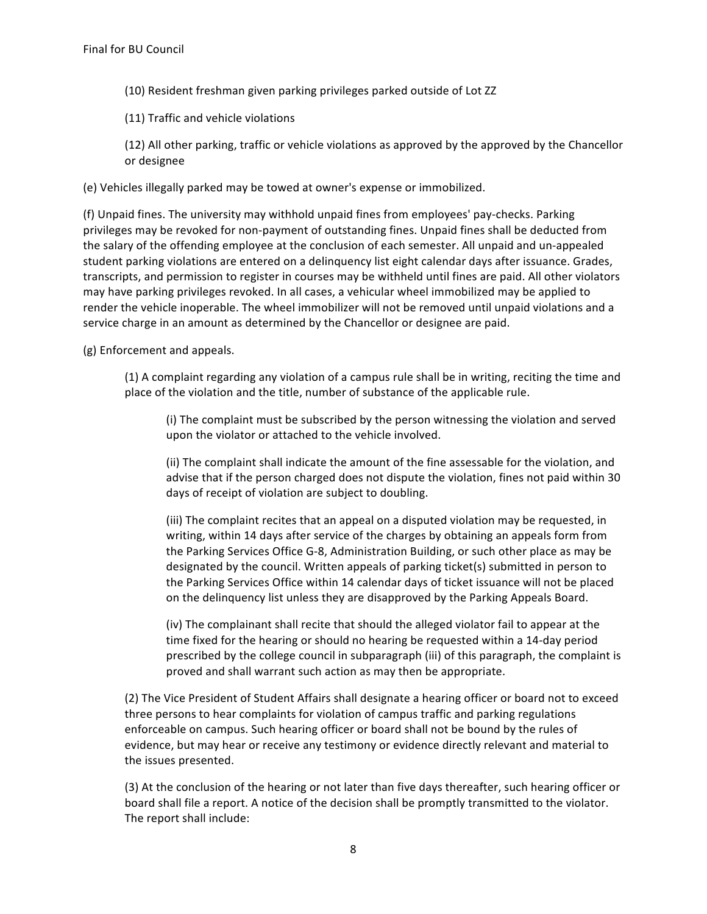- (10) Resident freshman given parking privileges parked outside of Lot ZZ
- (11) Traffic and vehicle violations
- (12) All other parking, traffic or vehicle violations as approved by the approved by the Chancellor or designee

(e) Vehicles illegally parked may be towed at owner's expense or immobilized.

(f) Unpaid fines. The university may withhold unpaid fines from employees' pay-checks. Parking privileges may be revoked for non-payment of outstanding fines. Unpaid fines shall be deducted from the salary of the offending employee at the conclusion of each semester. All unpaid and un-appealed student parking violations are entered on a delinquency list eight calendar days after issuance. Grades, transcripts, and permission to register in courses may be withheld until fines are paid. All other violators may have parking privileges revoked. In all cases, a vehicular wheel immobilized may be applied to render the vehicle inoperable. The wheel immobilizer will not be removed until unpaid violations and a service charge in an amount as determined by the Chancellor or designee are paid.

(g) Enforcement and appeals.

 $(1)$  A complaint regarding any violation of a campus rule shall be in writing, reciting the time and place of the violation and the title, number of substance of the applicable rule.

(i) The complaint must be subscribed by the person witnessing the violation and served upon the violator or attached to the vehicle involved.

(ii) The complaint shall indicate the amount of the fine assessable for the violation, and advise that if the person charged does not dispute the violation, fines not paid within 30 days of receipt of violation are subject to doubling.

(iii) The complaint recites that an appeal on a disputed violation may be requested, in writing, within 14 days after service of the charges by obtaining an appeals form from the Parking Services Office G-8, Administration Building, or such other place as may be designated by the council. Written appeals of parking ticket(s) submitted in person to the Parking Services Office within 14 calendar days of ticket issuance will not be placed on the delinquency list unless they are disapproved by the Parking Appeals Board.

(iv) The complainant shall recite that should the alleged violator fail to appear at the time fixed for the hearing or should no hearing be requested within a 14-day period prescribed by the college council in subparagraph (iii) of this paragraph, the complaint is proved and shall warrant such action as may then be appropriate.

(2) The Vice President of Student Affairs shall designate a hearing officer or board not to exceed three persons to hear complaints for violation of campus traffic and parking regulations enforceable on campus. Such hearing officer or board shall not be bound by the rules of evidence, but may hear or receive any testimony or evidence directly relevant and material to the issues presented.

(3) At the conclusion of the hearing or not later than five days thereafter, such hearing officer or board shall file a report. A notice of the decision shall be promptly transmitted to the violator. The report shall include: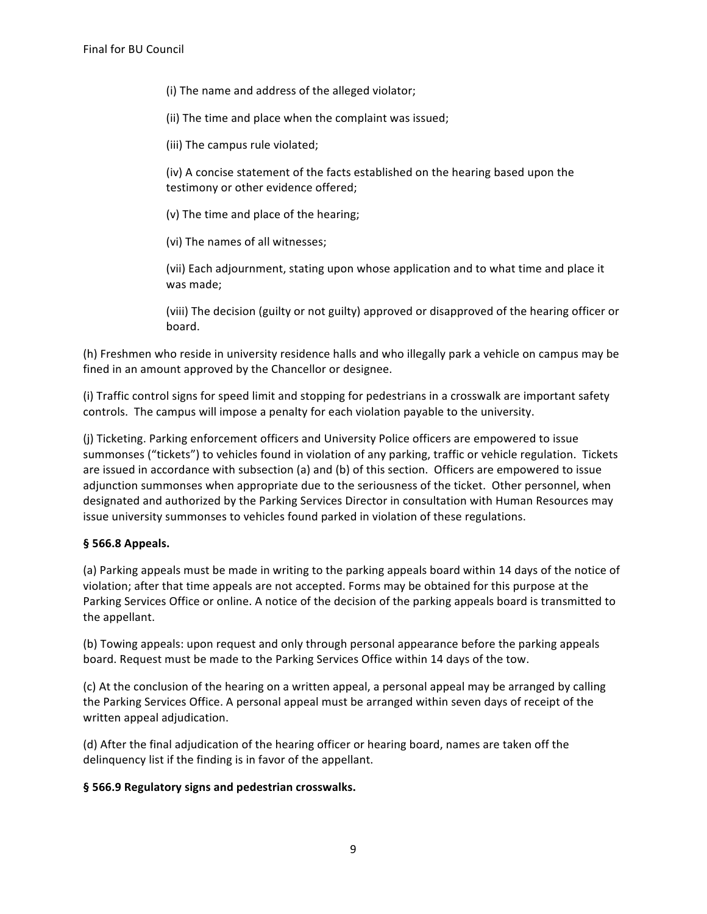- (i) The name and address of the alleged violator;
- (ii) The time and place when the complaint was issued;
- (iii) The campus rule violated;

(iv) A concise statement of the facts established on the hearing based upon the testimony or other evidence offered;

- (v) The time and place of the hearing;
- (vi) The names of all witnesses;

(vii) Each adjournment, stating upon whose application and to what time and place it was made;

(viii) The decision (guilty or not guilty) approved or disapproved of the hearing officer or board.

(h) Freshmen who reside in university residence halls and who illegally park a vehicle on campus may be fined in an amount approved by the Chancellor or designee.

(i) Traffic control signs for speed limit and stopping for pedestrians in a crosswalk are important safety controls. The campus will impose a penalty for each violation payable to the university.

(i) Ticketing. Parking enforcement officers and University Police officers are empowered to issue summonses ("tickets") to vehicles found in violation of any parking, traffic or vehicle regulation. Tickets are issued in accordance with subsection (a) and (b) of this section. Officers are empowered to issue adjunction summonses when appropriate due to the seriousness of the ticket. Other personnel, when designated and authorized by the Parking Services Director in consultation with Human Resources may issue university summonses to vehicles found parked in violation of these regulations.

# **§ 566.8 Appeals.**

(a) Parking appeals must be made in writing to the parking appeals board within 14 days of the notice of violation; after that time appeals are not accepted. Forms may be obtained for this purpose at the Parking Services Office or online. A notice of the decision of the parking appeals board is transmitted to the appellant.

(b) Towing appeals: upon request and only through personal appearance before the parking appeals board. Request must be made to the Parking Services Office within 14 days of the tow.

(c) At the conclusion of the hearing on a written appeal, a personal appeal may be arranged by calling the Parking Services Office. A personal appeal must be arranged within seven days of receipt of the written appeal adjudication.

(d) After the final adjudication of the hearing officer or hearing board, names are taken off the delinquency list if the finding is in favor of the appellant.

### § 566.9 Regulatory signs and pedestrian crosswalks.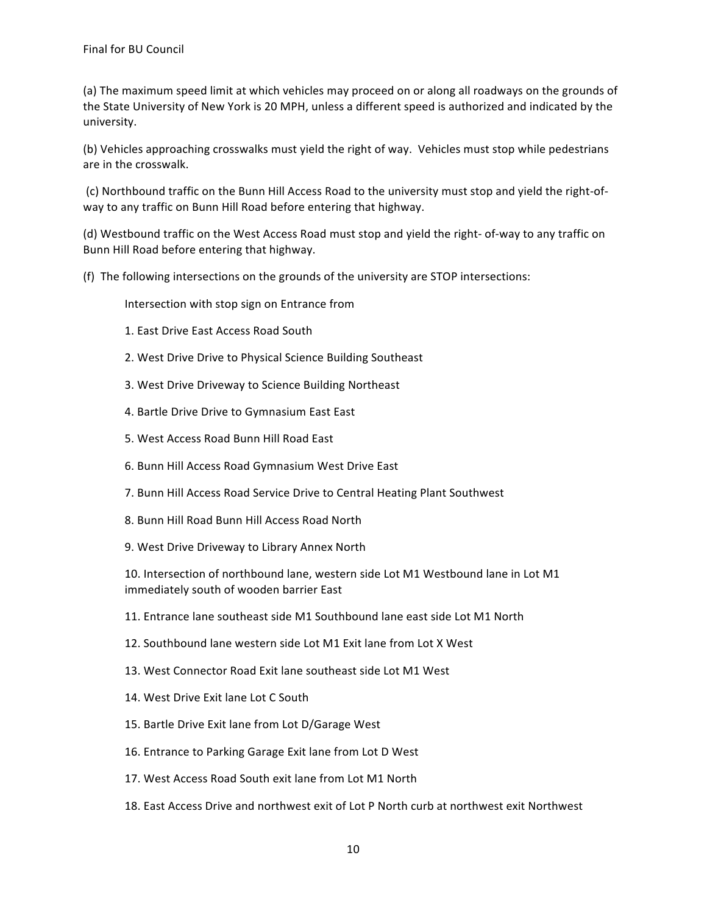(a) The maximum speed limit at which vehicles may proceed on or along all roadways on the grounds of the State University of New York is 20 MPH, unless a different speed is authorized and indicated by the university.

(b) Vehicles approaching crosswalks must yield the right of way. Vehicles must stop while pedestrians are in the crosswalk.

(c) Northbound traffic on the Bunn Hill Access Road to the university must stop and yield the right-ofway to any traffic on Bunn Hill Road before entering that highway.

(d) Westbound traffic on the West Access Road must stop and yield the right- of-way to any traffic on Bunn Hill Road before entering that highway.

(f) The following intersections on the grounds of the university are STOP intersections:

Intersection with stop sign on Entrance from

- 1. East Drive East Access Road South
- 2. West Drive Drive to Physical Science Building Southeast
- 3. West Drive Driveway to Science Building Northeast
- 4. Bartle Drive Drive to Gymnasium East East
- 5. West Access Road Bunn Hill Road East
- 6. Bunn Hill Access Road Gymnasium West Drive East
- 7. Bunn Hill Access Road Service Drive to Central Heating Plant Southwest
- 8. Bunn Hill Road Bunn Hill Access Road North
- 9. West Drive Driveway to Library Annex North

10. Intersection of northbound lane, western side Lot M1 Westbound lane in Lot M1 immediately south of wooden barrier East

- 11. Entrance lane southeast side M1 Southbound lane east side Lot M1 North
- 12. Southbound lane western side Lot M1 Exit lane from Lot X West
- 13. West Connector Road Exit lane southeast side Lot M1 West
- 14. West Drive Exit lane Lot C South
- 15. Bartle Drive Exit lane from Lot D/Garage West
- 16. Entrance to Parking Garage Exit lane from Lot D West
- 17. West Access Road South exit lane from Lot M1 North
- 18. East Access Drive and northwest exit of Lot P North curb at northwest exit Northwest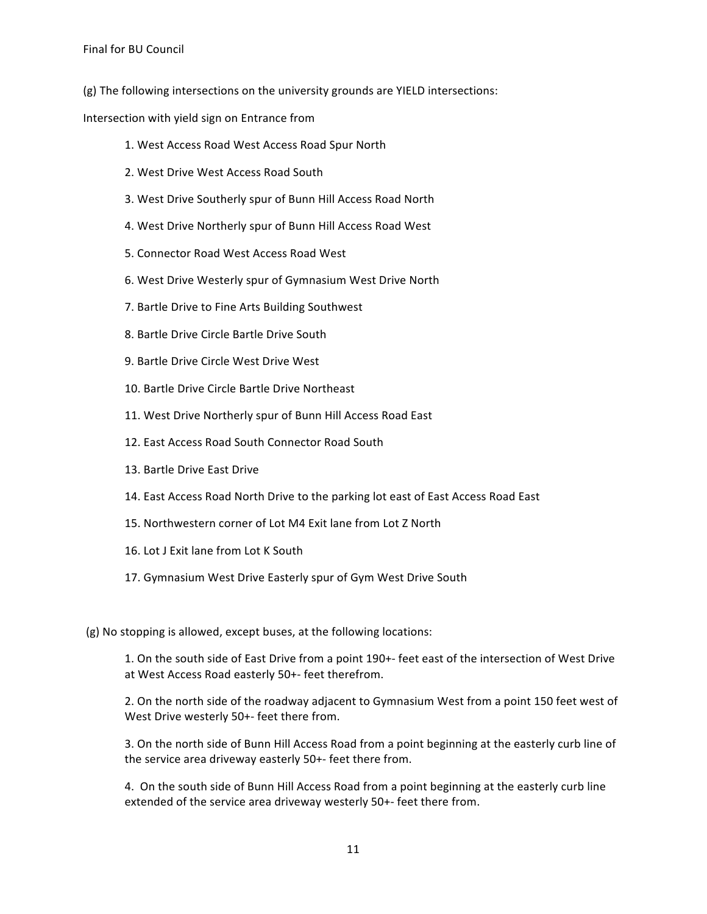$(g)$  The following intersections on the university grounds are YIELD intersections:

Intersection with yield sign on Entrance from

- 1. West Access Road West Access Road Spur North
- 2. West Drive West Access Road South
- 3. West Drive Southerly spur of Bunn Hill Access Road North
- 4. West Drive Northerly spur of Bunn Hill Access Road West
- 5. Connector Road West Access Road West
- 6. West Drive Westerly spur of Gymnasium West Drive North
- 7. Bartle Drive to Fine Arts Building Southwest
- 8. Bartle Drive Circle Bartle Drive South
- 9. Bartle Drive Circle West Drive West
- 10. Bartle Drive Circle Bartle Drive Northeast
- 11. West Drive Northerly spur of Bunn Hill Access Road East
- 12. East Access Road South Connector Road South
- 13. Bartle Drive East Drive
- 14. East Access Road North Drive to the parking lot east of East Access Road East
- 15. Northwestern corner of Lot M4 Exit lane from Lot Z North
- 16. Lot J Exit lane from Lot K South
- 17. Gymnasium West Drive Easterly spur of Gym West Drive South

(g) No stopping is allowed, except buses, at the following locations:

1. On the south side of East Drive from a point 190+- feet east of the intersection of West Drive at West Access Road easterly 50+- feet therefrom.

2. On the north side of the roadway adjacent to Gymnasium West from a point 150 feet west of West Drive westerly 50+- feet there from.

3. On the north side of Bunn Hill Access Road from a point beginning at the easterly curb line of the service area driveway easterly 50+- feet there from.

4. On the south side of Bunn Hill Access Road from a point beginning at the easterly curb line extended of the service area driveway westerly 50+- feet there from.